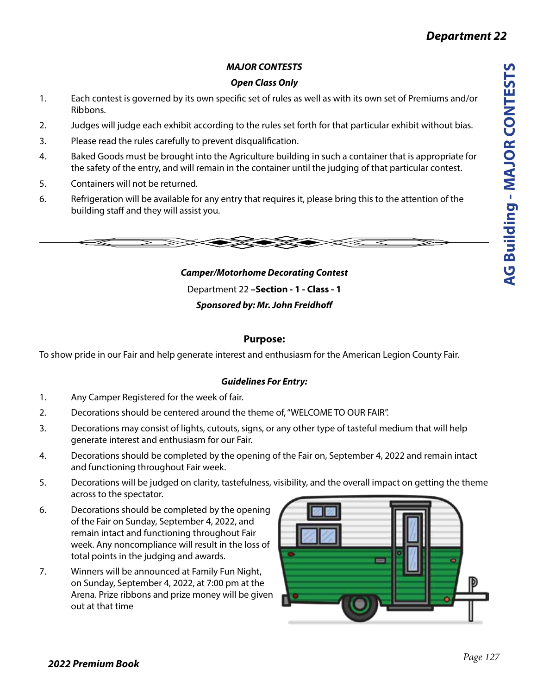# *Department 22*

# *MAJOR CONTESTS*

# *Open Class Only*

- 1. Each contest is governed by its own specific set of rules as well as with its own set of Premiums and/or Ribbons.
- 2. Judges will judge each exhibit according to the rules set forth for that particular exhibit without bias.
- 3. Please read the rules carefully to prevent disqualification.
- 4. Baked Goods must be brought into the Agriculture building in such a container that is appropriate for the safety of the entry, and will remain in the container until the judging of that particular contest.
- 5. Containers will not be returned.
- 6. Refrigeration will be available for any entry that requires it, please bring this to the attention of the building staff and they will assist you.



*Camper/Motorhome Decorating Contest*  Department 22 **–Section - 1 - Class - 1**  *Sponsored by: Mr. John Freidhoff*

# **Purpose:**

To show pride in our Fair and help generate interest and enthusiasm for the American Legion County Fair.

# *Guidelines For Entry:*

- 1. Any Camper Registered for the week of fair.
- 2. Decorations should be centered around the theme of, "WELCOME TO OUR FAIR".
- 3. Decorations may consist of lights, cutouts, signs, or any other type of tasteful medium that will help generate interest and enthusiasm for our Fair.
- 4. Decorations should be completed by the opening of the Fair on, September 4, 2022 and remain intact and functioning throughout Fair week.
- 5. Decorations will be judged on clarity, tastefulness, visibility, and the overall impact on getting the theme across to the spectator.
- 6. Decorations should be completed by the opening of the Fair on Sunday, September 4, 2022, and remain intact and functioning throughout Fair week. Any noncompliance will result in the loss of total points in the judging and awards.
- 7. Winners will be announced at Family Fun Night, on Sunday, September 4, 2022, at 7:00 pm at the Arena. Prize ribbons and prize money will be given out at that time

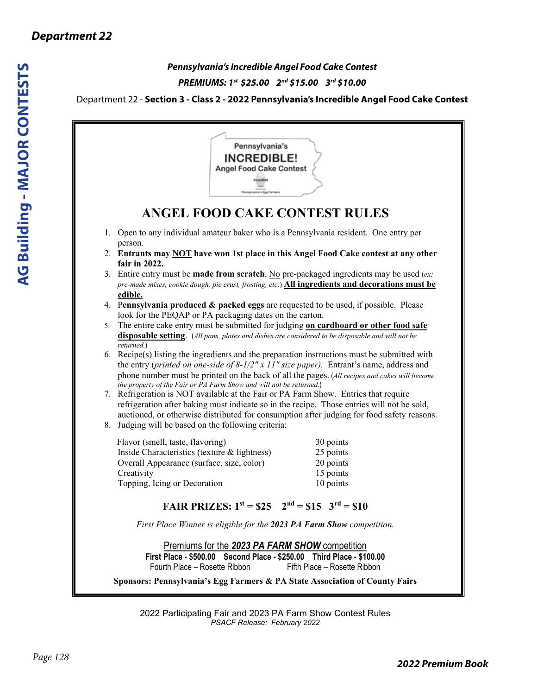# *Pennsylvania's Incredible Angel Food Cake Contest PREMIUMS: 1st \$25.00 2nd \$15.00 3rd \$10.00*

# Department 22 - **Section 3 - Class 2 - 2022 Pennsylvania's Incredible Angel Food Cake Contest**

|    | Pennsylvania's<br><b>INCREDIBLE!</b><br><b>Angel Food Cake Contest</b><br><b>Incredible</b><br>Pennsylvania's Egg Farmer                                                                                                                                                                                                                               |
|----|--------------------------------------------------------------------------------------------------------------------------------------------------------------------------------------------------------------------------------------------------------------------------------------------------------------------------------------------------------|
|    | <b>ANGEL FOOD CAKE CONTEST RULES</b>                                                                                                                                                                                                                                                                                                                   |
|    | 1. Open to any individual amateur baker who is a Pennsylvania resident. One entry per                                                                                                                                                                                                                                                                  |
|    | person.<br>2. Entrants may NOT have won 1st place in this Angel Food Cake contest at any other<br>fair in 2022.                                                                                                                                                                                                                                        |
|    | 3. Entire entry must be <b>made from scratch</b> . No pre-packaged ingredients may be used (ex:<br>pre-made mixes, cookie dough, pie crust, frosting, etc.) All ingredients and decorations must be                                                                                                                                                    |
|    | edible.<br>4. Pennsylvania produced $\&$ packed eggs are requested to be used, if possible. Please                                                                                                                                                                                                                                                     |
| 5. | look for the PEQAP or PA packaging dates on the carton.<br>The entire cake entry must be submitted for judging on cardboard or other food safe<br>disposable setting. (All pans, plates and dishes are considered to be disposable and will not be<br>returned.)                                                                                       |
|    | 6. Recipe(s) listing the ingredients and the preparation instructions must be submitted with<br>the entry (printed on one-side of $8-1/2$ " x 11" size paper). Entrant's name, address and<br>phone number must be printed on the back of all the pages. (All recipes and cakes will become                                                            |
|    | the property of the Fair or PA Farm Show and will not be returned.)<br>7. Refrigeration is NOT available at the Fair or PA Farm Show. Entries that require<br>refrigeration after baking must indicate so in the recipe. Those entries will not be sold,<br>auctioned, or otherwise distributed for consumption after judging for food safety reasons. |
|    | 8. Judging will be based on the following criteria:                                                                                                                                                                                                                                                                                                    |
|    | 30 points<br>Flavor (smell, taste, flavoring)<br>25 points<br>Inside Characteristics (texture & lightness)                                                                                                                                                                                                                                             |
|    | Overall Appearance (surface, size, color)<br>20 points                                                                                                                                                                                                                                                                                                 |
|    | 15 points<br>Creativity                                                                                                                                                                                                                                                                                                                                |
|    | 10 points<br>Topping, Icing or Decoration                                                                                                                                                                                                                                                                                                              |
|    | FAIR PRIZES: $1^{st} = $25$ $2^{nd} = $15$ $3^{rd} = $10$                                                                                                                                                                                                                                                                                              |
|    | First Place Winner is eligible for the 2023 PA Farm Show competition.                                                                                                                                                                                                                                                                                  |
|    | Premiums for the 2023 PA FARM SHOW competition<br>First Place - \$500.00 Second Place - \$250.00 Third Place - \$100.00<br>Fourth Place - Rosette Ribbon<br>Fifth Place - Rosette Ribbon                                                                                                                                                               |
|    | Sponsors: Pennsylvania's Egg Farmers & PA State Association of County Fairs                                                                                                                                                                                                                                                                            |

2022 Participating Fair and 2023 PA Farm Show Contest Rules *PSACF Release: February 2022*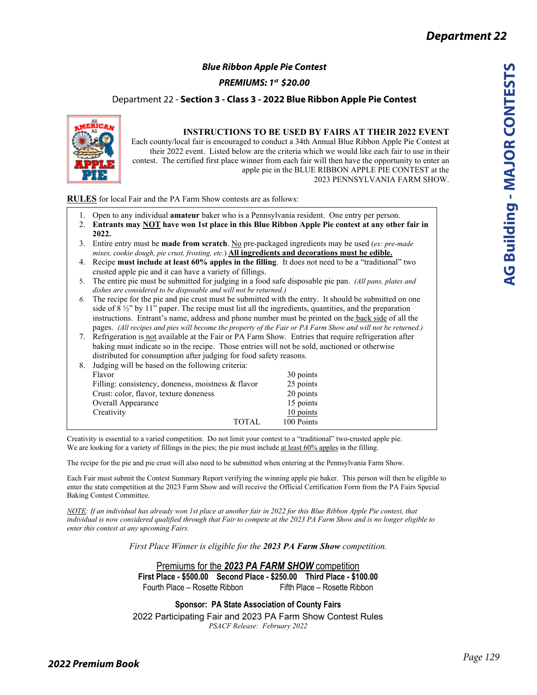# *Blue Ribbon Apple Pie Contest*

*PREMIUMS: 1st \$20.00*  

**Department 22 - Section 3 - Class 3 - 2022 Blue Ribbon Apple Pie Contest** 



1. Open to any individual **amateur** baker who is a Pennsylvania resident. One entry per person. 2. **Entrants may NOT have won 1st place in this Blue Ribbon Apple Pie contest at any other fair in 2022.**

- 3. Entire entry must be **made from scratch**. No pre-packaged ingredients may be used (*ex: pre-made mixes, cookie dough, pie crust, frosting, etc.*) **All ingredients and decorations must be edible.**
- 4. Recipe **must include at least 60% apples in the filling**. It does not need to be a "traditional" two crusted apple pie and it can have a variety of fillings.
- 5. The entire pie must be submitted for judging in a food safe disposable pie pan. *(All pans, plates and dishes are considered to be disposable and will not be returned.)*
- *6.* The recipe for the pie and pie crust must be submitted with the entry. It should be submitted on one side of  $8\frac{1}{2}$ " by 11" paper. The recipe must list all the ingredients, quantities, and the preparation instructions. Entrant's name, address and phone number must be printed on the back side of all the pages. *(All recipes and pies will become the property of the Fair or PA Farm Show and will not be returned.)*
- 7. Refrigeration is not available at the Fair or PA Farm Show. Entries that require refrigeration after baking must indicate so in the recipe. Those entries will not be sold, auctioned or otherwise distributed for consumption after judging for food safety reasons.

| 8. Judging will be based on the following criteria: |            |  |
|-----------------------------------------------------|------------|--|
| Flavor                                              | 30 points  |  |
| Filling: consistency, doneness, moistness & flavor  | 25 points  |  |
| Crust: color, flavor, texture doneness              | 20 points  |  |
| <b>Overall Appearance</b>                           | 15 points  |  |
| Creativity                                          | 10 points  |  |
| TOTAL                                               | 100 Points |  |

Creativity is essential to a varied competition. Do not limit your contest to a "traditional" two-crusted apple pie. We are looking for a variety of fillings in the pies; the pie must include at least 60% apples in the filling.

The recipe for the pie and pie crust will also need to be submitted when entering at the Pennsylvania Farm Show.

Each Fair must submit the Contest Summary Report verifying the winning apple pie baker. This person will then be eligible to enter the state competition at the 2023 Farm Show and will receive the Official Certification Form from the PA Fairs Special Baking Contest Committee.

*NOTE: If an individual has already won 1st place at another fair in 2022 for this Blue Ribbon Apple Pie contest, that individual is now considered qualified through that Fair to compete at the 2023 PA Farm Show and is no longer eligible to enter this contest at any upcoming Fairs.* 

*First Place Winner is eligible for the 2023 PA Farm Show competition.* 

Premiums for the *2023 PA FARM SHOW* competition **First Place - \$500.00 Second Place - \$250.00 Third Place - \$100.00**  Fourth Place – Rosette Ribbon Fifth Place – Rosette Ribbon

2022 Participating Fair and 2023 PA Farm Show Contest Rules *PSACF Release: February 2022*  **Sponsor: PA State Association of County Fairs**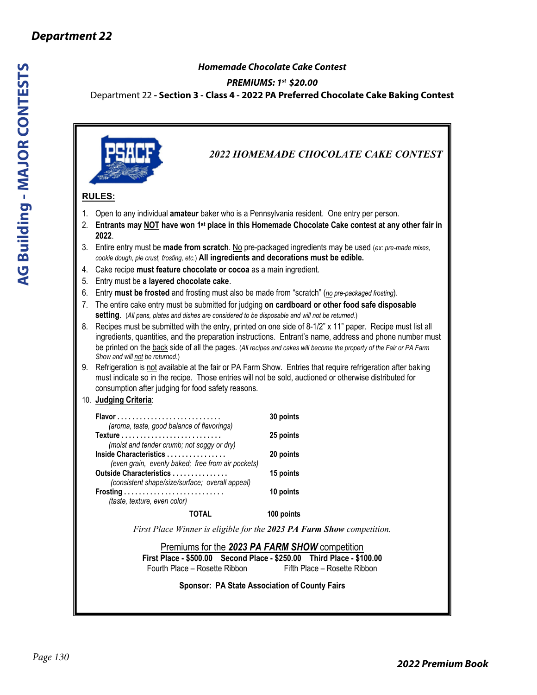# *Homemade Chocolate Cake Contest*

### *PREMIUMS: 1st \$20.00*

Department 22 **- Section 3 - Class 4 - 2022 PA Preferred Chocolate Cake Baking Contest**

*2022 HOMEMADE CHOCOLATE CAKE CONTEST*  **RULES:**  1. Open to any individual **amateur** baker who is a Pennsylvania resident. One entry per person. 2. **Entrants may NOT have won 1st place in this Homemade Chocolate Cake contest at any other fair in 2022**. 3. Entire entry must be **made from scratch**. No pre-packaged ingredients may be used (*ex: pre-made mixes, cookie dough, pie crust, frosting, etc.*) **All ingredients and decorations must be edible.** 4. Cake recipe **must feature chocolate or cocoa** as a main ingredient. 5. Entry must be **a layered chocolate cake**. 6. Entry **must be frosted** and frosting must also be made from "scratch" (*no pre-packaged frosting*). 7. The entire cake entry must be submitted for judging **on cardboard or other food safe disposable setting**. (*All pans, plates and dishes are considered to be disposable and will not be returned*.) 8. Recipes must be submitted with the entry, printed on one side of 8-1/2" x 11" paper. Recipe must list all ingredients, quantities, and the preparation instructions. Entrant's name, address and phone number must be printed on the back side of all the pages. (*All recipes and cakes will become the property of the Fair or PA Farm Show and will not be returned*.) 9. Refrigeration is not available at the fair or PA Farm Show. Entries that require refrigeration after baking must indicate so in the recipe. Those entries will not be sold, auctioned or otherwise distributed for consumption after judging for food safety reasons. 10. **Judging Criteria**: **Flavor . . . . . . . . . . . . . . . . . . . . . . . . . . . . 30 points** *(aroma, taste, good balance of flavorings)* **Texture . . . . . . . . . . . . . . . . . . . . . . . . . . . 25 points**  *(moist and tender crumb; not soggy or dry)* **Inside Characteristics . . . . . . . . . . . . . . . . 20 points**  *(even grain, evenly baked; free from air pockets)* **Outside Characteristics . . . . . . . . . . . . . . . 15 points** *(consistent shape/size/surface; overall appeal)*  **Frosting . . . . . . . . . . . . . . . . . . . . . . . . . . . 10 points**  *(taste, texture, even color)* **TOTAL 100 points** *First Place Winner is eligible for the 2023 PA Farm Show competition.*  Premiums for the *2023 PA FARM SHOW* competition **First Place - \$500.00 Second Place - \$250.00 Third Place - \$100.00**  Fourth Place – Rosette Ribbon Fifth Place – Rosette Ribbon

**Sponsor: PA State Association of County Fairs**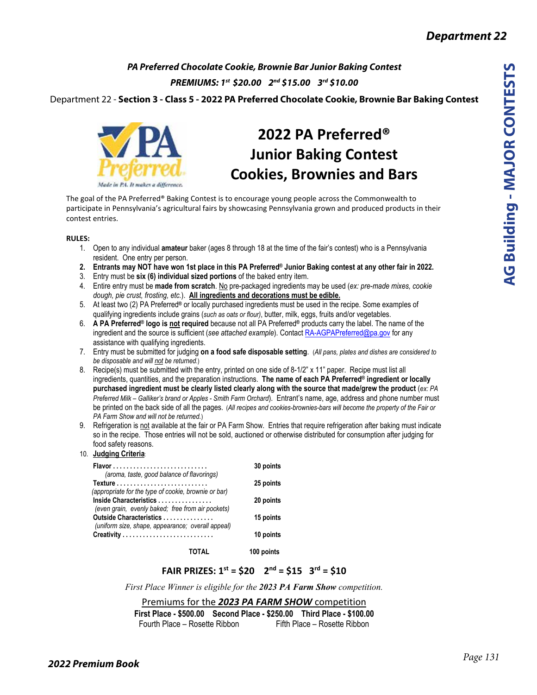*PA Preferred Chocolate Cookie, Brownie Bar Junior Baking Contest PREMIUMS: 1st \$20.00 2nd \$15.00 3rd \$10.00*

Department 22 - **Section 3 - Class 5 - 2022 PA Preferred Chocolate Cookie, Brownie Bar Baking Contest**



# **2022 PA Preferred® Junior Baking Contest Cookies, Brownies and Bars**

The goal of the PA Preferred® Baking Contest is to encourage young people across the Commonwealth to participate in Pennsylvania's agricultural fairs by showcasing Pennsylvania grown and produced products in their contest entries.

#### **RULES:**

- 1. Open to any individual **amateur** baker (ages 8 through 18 at the time of the fair's contest) who is a Pennsylvania resident. One entry per person.
- **2. Entrants may NOT have won 1st place in this PA Preferred® Junior Baking contest at any other fair in 2022.**
- 3. Entry must be **six (6) individual sized portions** of the baked entry item.
- 4. Entire entry must be **made from scratch**. No pre-packaged ingredients may be used (*ex: pre-made mixes, cookie dough, pie crust, frosting, etc.*). **All ingredients and decorations must be edible.**
- 5. At least two (2) PA Preferred**®** or locally purchased ingredients must be used in the recipe. Some examples of qualifying ingredients include grains (*such as oats or flour)*, butter, milk, eggs, fruits and/or vegetables.
- 6. **A PA Preferred® logo is not required** because not all PA Preferred**®** products carry the label. The name of the ingredient and the source is sufficient (see attached example). Contact RA-AGPAPreferred@pa.gov for any assistance with qualifying ingredients.
- 7. Entry must be submitted for judging **on a food safe disposable setting**. (*All pans, plates and dishes are considered to be disposable and will not be returned.*)
- 8. Recipe(s) must be submitted with the entry, printed on one side of 8-1/2" x 11" paper. Recipe must list all ingredients, quantities, and the preparation instructions. **The name of each PA Preferred® ingredient or locally purchased ingredient must be clearly listed clearly along with the source that made/grew the product** (*ex: PA Preferred Milk – Galliker's brand or Apples - Smith Farm Orchard*). Entrant's name, age, address and phone number must be printed on the back side of all the pages. (*All recipes and cookies-brownies-bars will become the property of the Fair or PA Farm Show and will not be returned.*)
- 9. Refrigeration is not available at the fair or PA Farm Show. Entries that require refrigeration after baking must indicate so in the recipe. Those entries will not be sold, auctioned or otherwise distributed for consumption after judging for food safety reasons.

#### 10. **Judging Criteria**:

| 30 points |
|-----------|
| 25 points |
| 20 points |
| 15 points |
| 10 points |
|           |

**TOTAL 100 points** 

### **FAIR PRIZES: 1st = \$20 2nd = \$15 3rd = \$10**

*First Place Winner is eligible for the 2023 PA Farm Show competition.* 

Premiums for the *2023 PA FARM SHOW* competition **First Place - \$500.00 Second Place - \$250.00 Third Place - \$100.00**  Fourth Place – Rosette Ribbon Fifth Place – Rosette Ribbon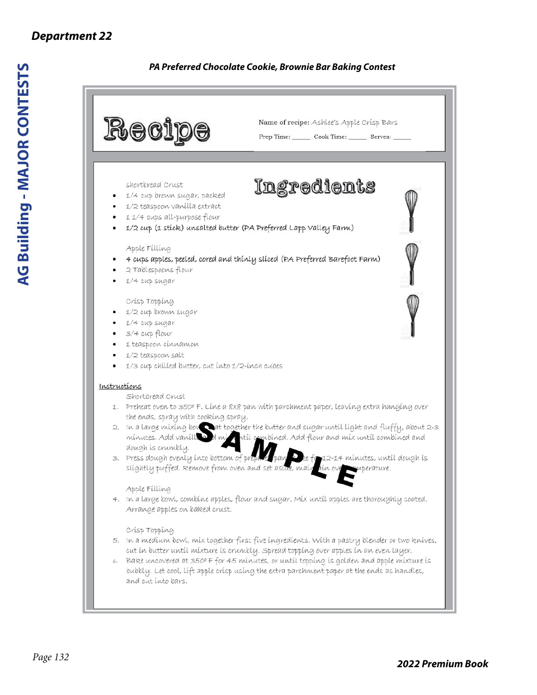# *Department 22*

# *PA Preferred Chocolate Cookie, Brownie Bar Baking Contest*

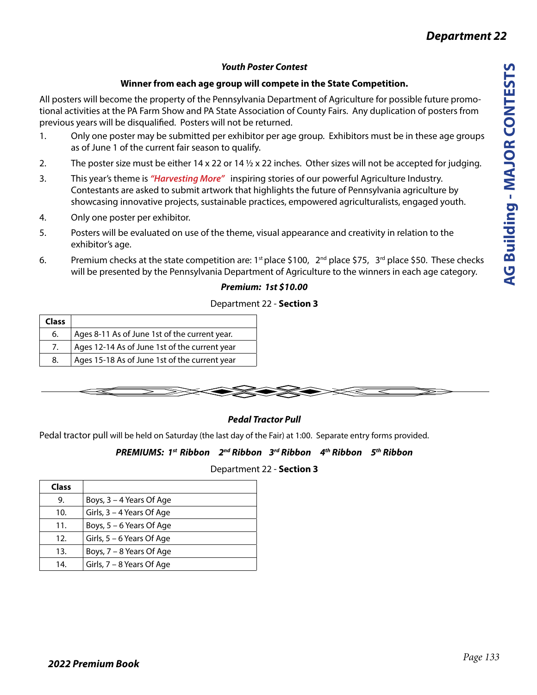# *Youth Poster Contest*

# **Winner from each age group will compete in the State Competition.**

All posters will become the property of the Pennsylvania Department of Agriculture for possible future promotional activities at the PA Farm Show and PA State Association of County Fairs. Any duplication of posters from previous years will be disqualified. Posters will not be returned.

- 1. Only one poster may be submitted per exhibitor per age group. Exhibitors must be in these age groups as of June 1 of the current fair season to qualify.
- 2. The poster size must be either  $14 \times 22$  or  $14 \frac{1}{2} \times 22$  inches. Other sizes will not be accepted for judging.
- 3. This year's theme is *"Harvesting More"* inspiring stories of our powerful Agriculture Industry. Contestants are asked to submit artwork that highlights the future of Pennsylvania agriculture by showcasing innovative projects, sustainable practices, empowered agriculturalists, engaged youth.
- 4. Only one poster per exhibitor.
- 5. Posters will be evaluated on use of the theme, visual appearance and creativity in relation to the exhibitor's age.
- 6. Premium checks at the state competition are: 1<sup>st</sup> place \$100,  $2^{nd}$  place \$75,  $3^{rd}$  place \$50. These checks will be presented by the Pennsylvania Department of Agriculture to the winners in each age category.

# *Premium: 1st \$10.00*

# Department 22 - **Section 3**

| <b>Class</b> |                                               |
|--------------|-----------------------------------------------|
| 6.           | Ages 8-11 As of June 1st of the current year. |
| 7.           | Ages 12-14 As of June 1st of the current year |
| 8.           | Ages 15-18 As of June 1st of the current year |



# *Pedal Tractor Pull*

Pedal tractor pull will be held on Saturday (the last day of the Fair) at 1:00. Separate entry forms provided.

# *PREMIUMS: 1st Ribbon 2nd Ribbon 3rd Ribbon 4th Ribbon 5th Ribbon*

# Department 22 - **Section 3**

| <b>Class</b> |                           |
|--------------|---------------------------|
| 9.           | Boys, 3 – 4 Years Of Age  |
| 10.          | Girls, 3 - 4 Years Of Age |
| 11.          | Boys, 5 - 6 Years Of Age  |
| 12.          | Girls, 5 – 6 Years Of Age |
| 13.          | Boys, 7 - 8 Years Of Age  |
| 14.          | Girls, 7 – 8 Years Of Age |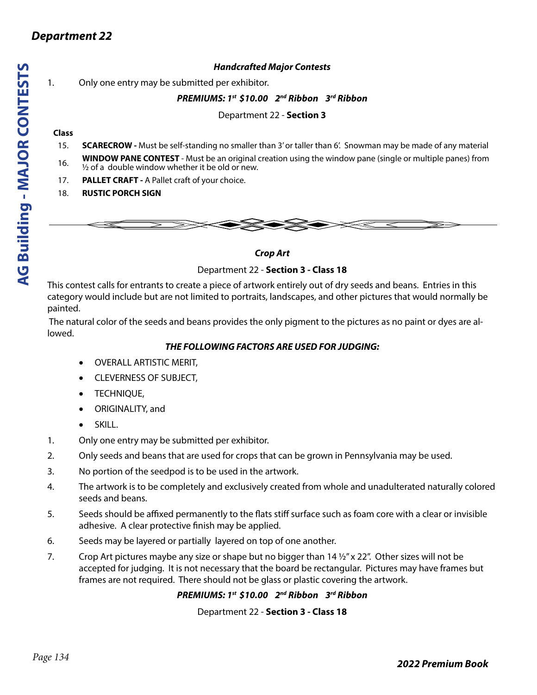### *Handcrafted Major Contests*

1. Only one entry may be submitted per exhibitor.

#### *PREMIUMS: 1st \$10.00 2nd Ribbon 3rd Ribbon*

Department 22 - **Section 3**

#### **Class**

*Department 22*

- 15. **SCARECROW** Must be self-standing no smaller than 3' or taller than 6'. Snowman may be made of any material
- 16. **WINDOW PANE CONTEST** Must be an original creation using the window pane (single or multiple panes) from  $\frac{1}{2}$  of a double window whether it be old or new.
- 17. **PALLET CRAFT** A Pallet craft of your choice.
- 18. **RUSTIC PORCH SIGN**



#### *Crop Art*

#### Department 22 - **Section 3 - Class 18**

This contest calls for entrants to create a piece of artwork entirely out of dry seeds and beans. Entries in this category would include but are not limited to portraits, landscapes, and other pictures that would normally be painted.

 The natural color of the seeds and beans provides the only pigment to the pictures as no paint or dyes are allowed.

#### *THE FOLLOWING FACTORS ARE USED FOR JUDGING:*

- **OVERALL ARTISTIC MERIT,**
- • CLEVERNESS OF SUBJECT,
- TECHNIOUE,
- • ORIGINALITY, and
- SKILL.
- 1. Only one entry may be submitted per exhibitor.
- 2. Only seeds and beans that are used for crops that can be grown in Pennsylvania may be used.
- 3. No portion of the seedpod is to be used in the artwork.
- 4. The artwork is to be completely and exclusively created from whole and unadulterated naturally colored seeds and beans.
- 5. Seeds should be affixed permanently to the flats stiff surface such as foam core with a clear or invisible adhesive. A clear protective finish may be applied.
- 6. Seeds may be layered or partially layered on top of one another.
- 7. Crop Art pictures maybe any size or shape but no bigger than  $14\frac{1}{2}$  x 22". Other sizes will not be accepted for judging. It is not necessary that the board be rectangular. Pictures may have frames but frames are not required. There should not be glass or plastic covering the artwork.

*PREMIUMS: 1st \$10.00 2nd Ribbon 3rd Ribbon*

Department 22 - **Section 3 - Class 18**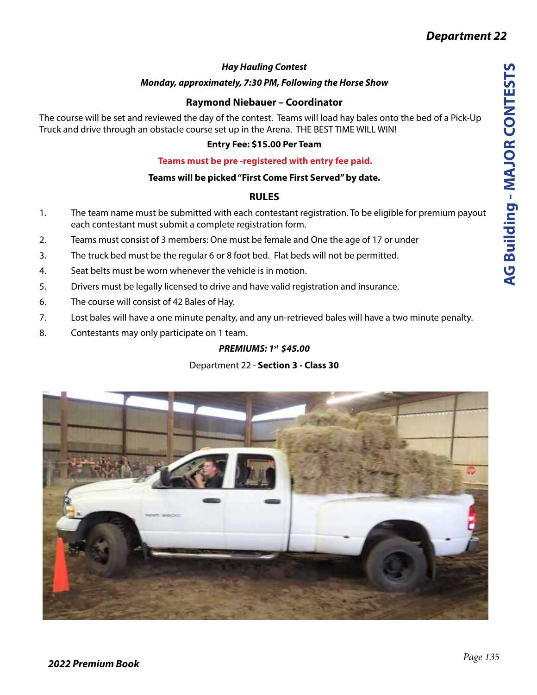# *Hay Hauling Contest*

# *Monday, approximately, 7:30 PM, Following the Horse Show*

# **Raymond Niebauer – Coordinator**

The course will be set and reviewed the day of the contest. Teams will load hay bales onto the bed of a Pick-Up Truck and drive through an obstacle course set up in the Arena. THE BEST TIME WILL WIN!

# **Entry Fee: \$15.00 Per Team**

# **Teams must be pre -registered with entry fee paid.**

# **Teams will be picked "First Come First Served" by date.**

# **RULES**

- 1. The team name must be submitted with each contestant registration. To be eligible for premium payout each contestant must submit a complete registration form.
- 2. Teams must consist of 3 members: One must be female and One the age of 17 or under
- 3. The truck bed must be the regular 6 or 8 foot bed. Flat beds will not be permitted.
- 4. Seat belts must be worn whenever the vehicle is in motion.
- 5. Drivers must be legally licensed to drive and have valid registration and insurance.
- 6. The course will consist of 42 Bales of Hay.
- 7. Lost bales will have a one minute penalty, and any un-retrieved bales will have a two minute penalty.
- 8. Contestants may only participate on 1 team.

# *PREMIUMS: 1st \$45.00*

# Department 22 - **Section 3 - Class 30**

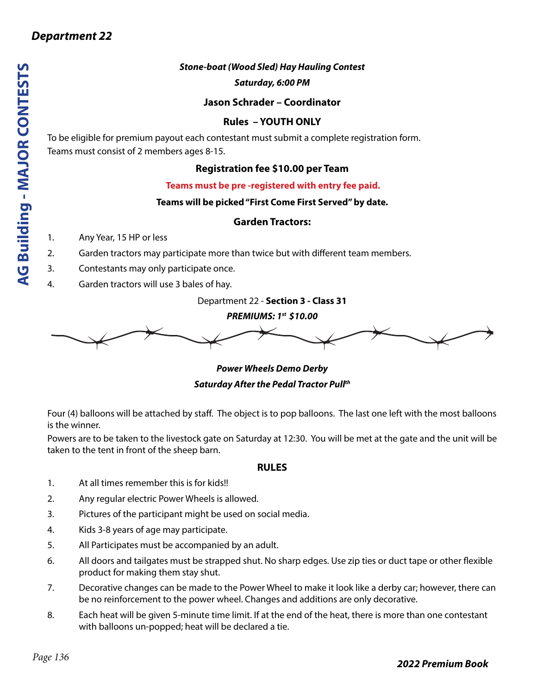# *Stone-boat (Wood Sled) Hay Hauling Contest*

*Saturday, 6:00 PM*

# **Jason Schrader – Coordinator**

# **Rules – YOUTH ONLY**

To be eligible for premium payout each contestant must submit a complete registration form. Teams must consist of 2 members ages 8-15.

# **Registration fee \$10.00 per Team**

# **Teams must be pre -registered with entry fee paid.**

# **Teams will be picked "First Come First Served" by date.**

# **Garden Tractors:**

- 1. Any Year, 15 HP or less
- 2. Garden tractors may participate more than twice but with different team members.
- 3. Contestants may only participate once.
- 4. Garden tractors will use 3 bales of hay.

Department 22 - **Section 3 - Class 31**

*PREMIUMS: 1st \$10.00*



*Power Wheels Demo Derby Saturday After the Pedal Tractor Pullth*

Four (4) balloons will be attached by staff. The object is to pop balloons. The last one left with the most balloons is the winner.

Powers are to be taken to the livestock gate on Saturday at 12:30. You will be met at the gate and the unit will be taken to the tent in front of the sheep barn.

### **RULES**

- 1. At all times remember this is for kids!!
- 2. Any regular electric Power Wheels is allowed.
- 3. Pictures of the participant might be used on social media.
- 4. Kids 3-8 years of age may participate.
- 5. All Participates must be accompanied by an adult.
- 6. All doors and tailgates must be strapped shut. No sharp edges. Use zip ties or duct tape or other flexible product for making them stay shut.
- 7. Decorative changes can be made to the Power Wheel to make it look like a derby car; however, there can be no reinforcement to the power wheel. Changes and additions are only decorative.
- 8. Each heat will be given 5-minute time limit. If at the end of the heat, there is more than one contestant with balloons un-popped; heat will be declared a tie.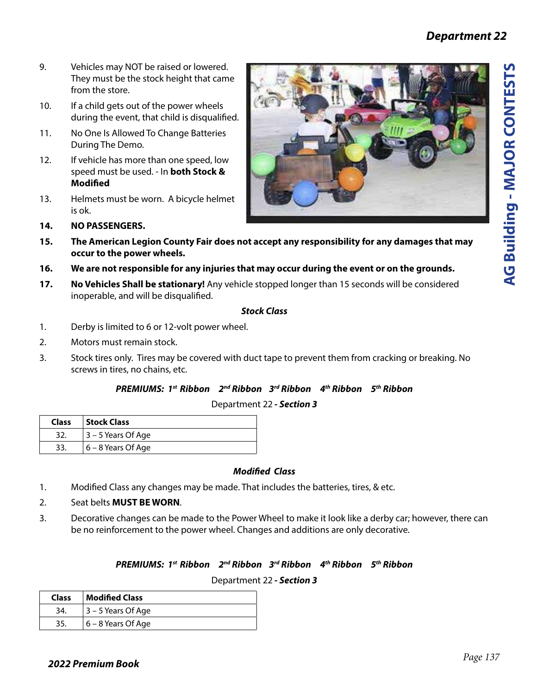- 9. Vehicles may NOT be raised or lowered. They must be the stock height that came from the store.
- 10. If a child gets out of the power wheels during the event, that child is disqualified.
- 11. No One Is Allowed To Change Batteries During The Demo.
- 12. If vehicle has more than one speed, low speed must be used. - In **both Stock & Modified**
- 13. Helmets must be worn. A bicycle helmet is ok.



- **14. NO PASSENGERS.**
- **15. The American Legion County Fair does not accept any responsibility for any damages that may occur to the power wheels.**
- **16. We are not responsible for any injuries that may occur during the event or on the grounds.**
- **17. No Vehicles Shall be stationary!** Any vehicle stopped longer than 15 seconds will be considered inoperable, and will be disqualified.

#### *Stock Class*

- 1. Derby is limited to 6 or 12-volt power wheel.
- 2. Motors must remain stock.
- 3. Stock tires only. Tires may be covered with duct tape to prevent them from cracking or breaking. No screws in tires, no chains, etc.

### *PREMIUMS: 1st Ribbon 2nd Ribbon 3rd Ribbon 4th Ribbon 5th Ribbon*

Department 22 *- Section 3*

| Class | Stock Class           |
|-------|-----------------------|
| 32.   | $ 3 - 5$ Years Of Age |
| 33.   | 6 – 8 Years Of Age    |

# *Modified Class*

- 1. Modified Class any changes may be made. That includes the batteries, tires, & etc.
- 2. Seat belts **MUST BE WORN**.
- 3. Decorative changes can be made to the Power Wheel to make it look like a derby car; however, there can be no reinforcement to the power wheel. Changes and additions are only decorative.

# *PREMIUMS: 1st Ribbon 2nd Ribbon 3rd Ribbon 4th Ribbon 5th Ribbon*

### Department 22 *- Section 3*

| Class | Modified Class       |
|-------|----------------------|
| -34.  | $3 - 5$ Years Of Age |
| 35.   | 6 - 8 Years Of Age   |